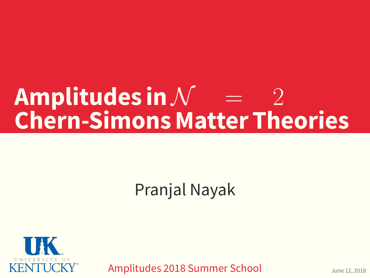# $A$ mplitudes in  $N =$ **Chern-Simons Matter Theories**

Pranjal Nayak



Amplitudes 2018 Summer School June 12, 2018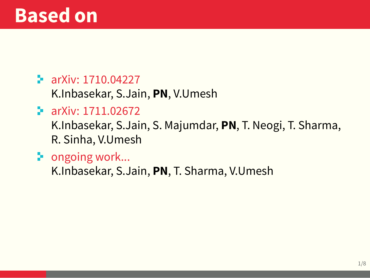#### $\blacktriangleright$  arXiv: 1710.04227

K.Inbasekar, S.Jain, **PN**, V.Umesh

#### arXiv: 1711.02672

K.Inbasekar, S.Jain, S. Majumdar, **PN**, T. Neogi, T. Sharma, R. Sinha, V.Umesh

 $\blacktriangleright$  ongoing work...

K.Inbasekar, S.Jain, **PN**, T. Sharma, V.Umesh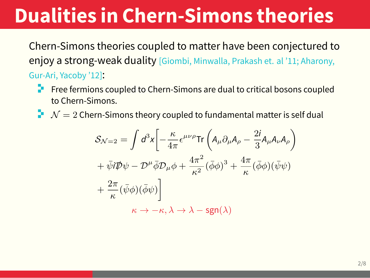# **Dualities in Chern-Simons theories**

Chern-Simons theories coupled to matter have been conjectured to enjoy a strong-weak duality [Giombi, Minwalla, Prakash et. al '11; Aharony, Gur-Ari, Yacoby '12]:

- $\blacksquare$  Free fermions coupled to Chern-Simons are dual to critical bosons coupled to Chern-Simons.
- $\mathcal{N}=2$  Chern-Simons theory coupled to fundamental matter is self dual

$$
S_{\mathcal{N}=2} = \int d^3x \left[ -\frac{\kappa}{4\pi} \epsilon^{\mu\nu\rho} \text{Tr} \left( A_{\mu} \partial_{\mu} A_{\rho} - \frac{2i}{3} A_{\mu} A_{\nu} A_{\rho} \right) \right. + \bar{\psi} i \mathcal{D} \psi - \mathcal{D}^{\mu} \bar{\phi} \mathcal{D}_{\mu} \phi + \frac{4\pi^2}{\kappa^2} (\bar{\phi} \phi)^3 + \frac{4\pi}{\kappa} (\bar{\phi} \phi)(\bar{\psi} \psi) + \frac{2\pi}{\kappa} (\bar{\psi} \phi)(\bar{\phi} \psi) \right] \kappa \to -\kappa, \lambda \to \lambda - \text{sgn}(\lambda)
$$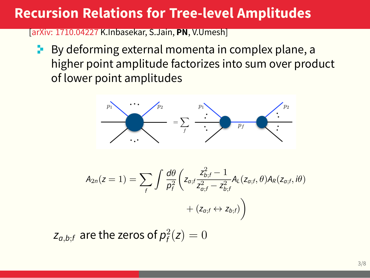### **Recursion Relations for Tree-level Amplitudes**

[arXiv: 1710.04227 K.Inbasekar, S.Jain, **PN**, V.Umesh]

 $\blacktriangleright$  By deforming external momenta in complex plane, a higher point amplitude factorizes into sum over product of lower point amplitudes



$$
A_{2n}(z=1) = \sum_f \int \frac{d\theta}{p_f^2} \left( z_{a,f} \frac{z_{b,f}^2 - 1}{z_{a,f}^2 - z_{b,f}^2} A_L(z_{a,f}, \theta) A_R(z_{a,f}, i\theta) + (z_{a,f} \leftrightarrow z_{b,f}) \right)
$$

 $z_{a,b;f}$  are the zeros of  $p_f^2(z) = 0$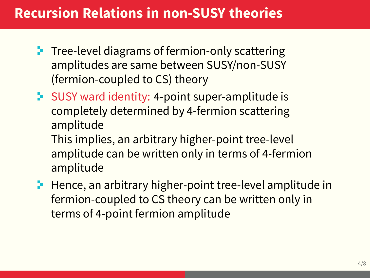### **Recursion Relations in non-SUSY theories**

- $\blacksquare$  Tree-level diagrams of fermion-only scattering amplitudes are same between SUSY/non-SUSY (fermion-coupled to CS) theory
- **SUSY** ward identity: 4-point super-amplitude is completely determined by 4-fermion scattering amplitude This implies, an arbitrary higher-point tree-level
	- amplitude can be written only in terms of 4-fermion amplitude
- $\blacksquare$  Hence, an arbitrary higher-point tree-level amplitude in fermion-coupled to CS theory can be written only in terms of 4-point fermion amplitude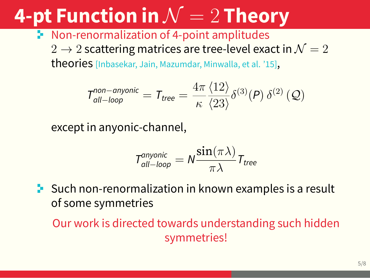# **4-pt Function in** *N* = 2 **Theory**

**Non-renormalization of 4-point amplitudes** 

 $2 \rightarrow 2$  scattering matrices are tree-level exact in  $\mathcal{N}=2$ theories [Inbasekar, Jain, Mazumdar, Minwalla, et al. '15],

$$
T_{\text{all-loop}}^{\text{non-anyonic}} = T_{\text{tree}} = \frac{4\pi}{\kappa} \frac{\langle 12 \rangle}{\langle 23 \rangle} \delta^{(3)}(P) \delta^{(2)}(Q)
$$

except in anyonic-channel,

$$
T_{\text{all-loop}}^{\text{anyonic}} = N \frac{\sin(\pi \lambda)}{\pi \lambda} T_{\text{tree}}
$$

 $\blacktriangleright$  Such non-renormalization in known examples is a result of some symmetries

Our work is directed towards understanding such hidden symmetries!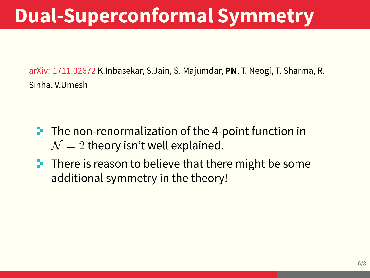# **Dual-Superconformal Symmetry**

arXiv: 1711.02672 K.Inbasekar, S.Jain, S. Majumdar, **PN**, T. Neogi, T. Sharma, R. Sinha, V.Umesh

- $\blacktriangleright$  The non-renormalization of the 4-point function in  $\mathcal{N}=2$  theory isn't well explained.
- $\blacksquare$  There is reason to believe that there might be some additional symmetry in the theory!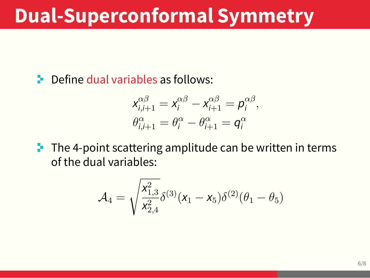### **Dual-Superconformal Symmetry**

**E** Define dual variables as follows:

$$
x_{i,i+1}^{\alpha\beta} = x_i^{\alpha\beta} - x_{i+1}^{\alpha\beta} = p_i^{\alpha\beta},
$$
  

$$
\theta_{i,i+1}^{\alpha} = \theta_i^{\alpha} - \theta_{i+1}^{\alpha} = q_i^{\alpha}
$$

 $\blacksquare$  The 4-point scattering amplitude can be written in terms of the dual variables:

$$
\mathcal{A}_4 = \sqrt{\frac{x_{1,3}^2}{x_{2,4}^2}} \delta^{(3)}(x_1 - x_5) \delta^{(2)}(\theta_1 - \theta_5)
$$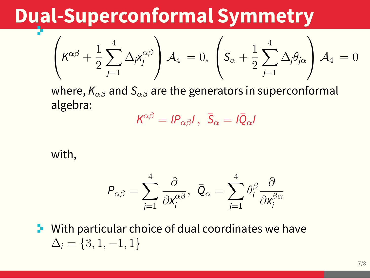### **Dual-Superconformal Symmetry**

$$
\left(K^{\alpha\beta} + \frac{1}{2}\sum_{j=1}^{4} \Delta_j X_j^{\alpha\beta}\right) A_4 = 0, \left(\bar{S}_{\alpha} + \frac{1}{2}\sum_{j=1}^{4} \Delta_j \theta_{j\alpha}\right) A_4 = 0
$$

where, *Kαβ* and *Sαβ* are the generators in superconformal algebra:

$$
K^{\alpha\beta} = I P_{\alpha\beta} I \, , \, \bar{S}_{\alpha} = I \bar{Q}_{\alpha} I
$$

#### with,

$$
\mathcal{P}_{\alpha\beta}=\sum_{j=1}^4\frac{\partial}{\partial x^{\alpha\beta}_i},\ \ \bar{\mathcal{Q}}_{\alpha}=\sum_{j=1}^4\theta^{\beta}_i\frac{\partial}{\partial x^{\beta\alpha}_i}
$$

 $\blacktriangleright$  With particular choice of dual coordinates we have  $\Delta_i = \{3, 1, -1, 1\}$